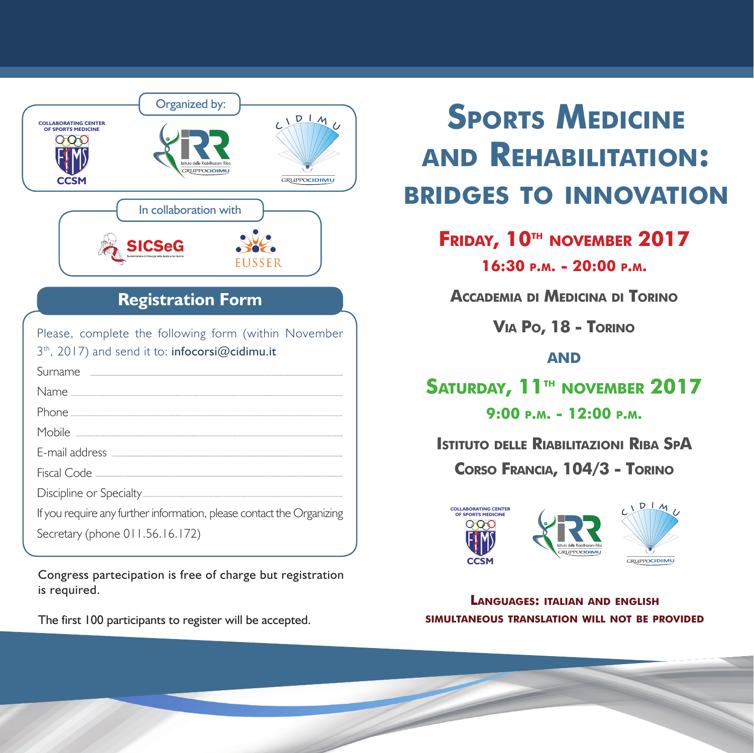

Congress partecipation is free of charge but registration is required.

The first 100 participants to register will be accepted.

# **SPORTS MEDICINE and Rehabilitation: bridges to innovation**

**Friday, 10th november 2017**

**16:30 p.m. - 20:00 p.m.**

**Accademia di Medicina di Torino**

**Via Po, 18 - Torino**

### **and**

SATURDAY, 11<sup>™</sup> NOVEMBER 2017

**9:00 p.m. - 12:00 p.m.**

**Istituto delle Riabilitazioni Riba SpA Corso Francia, 104/3 - Torino**



**Languages: italian and english simultaneous translation will not be provided**